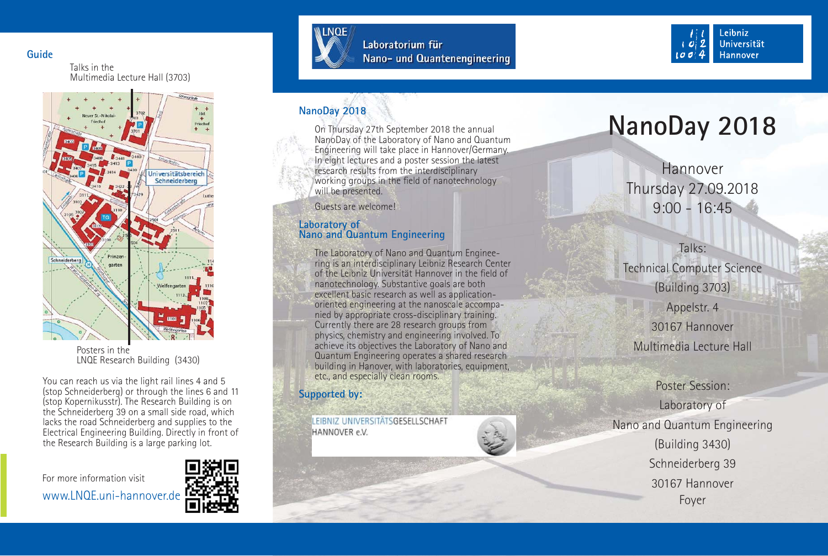**Guide**

Talks in the Multimedia Lecture Hall (3703)



Posters in the LNQE Research Building (3430)

You can reach us via the light rail lines 4 and 5 (stop Schneiderberg) or through the lines 6 and 11 (stop Kopernikusstr). The Research Building is on the Schneiderberg 39 on a small side road, which lacks the road Schneiderberg and supplies to the Electrical Engineering Building. Directly in front of the Research Building is a large parking lot.

For more information visit







Laboratorium für Nano- und Quantenengineering



# **NanoDay 2018**

On Thursday 27th September 2018 the annual NanoDay of the Laboratory of Nano and Quantum Engineering will take place in Hannover/Germany. In eight lectures and a poster session the latest research results from the interdisciplinary working groups in the field of nanotechnology will be presented.

Guests are welcome!

#### **Laboratory of Nano and Quantum Engineering**

The Laboratory of Nano and Quantum Engineering is an interdisciplinary Leibniz Research Center of the Leibniz Universität Hannover in the field of nanotechnology. Substantive goals are both excellent basic research as well as applicationoriented engineering at the nanoscale accompanied by appropriate cross-disciplinary training. Currently there are 28 research groups from physics, chemistry and engineering involved. To achieve its objectives the Laboratory of Nano and Quantum Engineering operates a shared research building in Hanover, with laboratories, equipment, etc., and especially clean rooms.

# **Supported by:**

LEIBNIZ UNIVERSITÄTSGESELLSCHAFT HANNOVER e.V.

# **NanoDay 2018**

HannoverThursday 27.09.2018 9:00 - 16:45

Talks:Technical Computer Science (Building 3703) Appelstr. 4 30167 Hannover

Multimedia Lecture Hall

Poster Session:Laboratory of Nano and Quantum Engineering (Building 3430) Schneiderberg 39 30167 HannoverFoyer